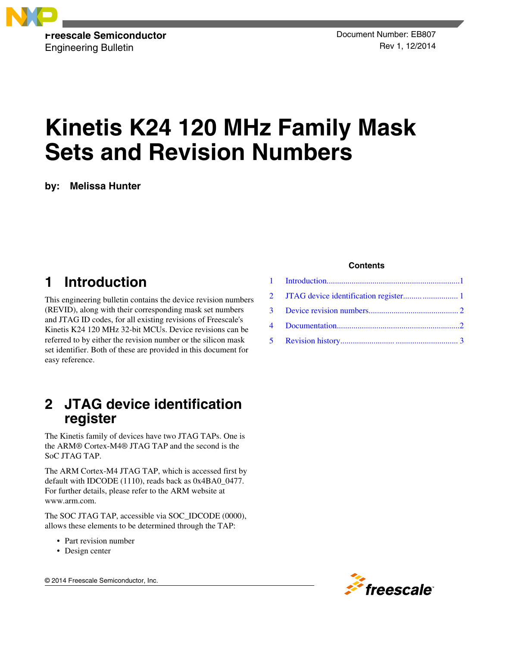

**Freescale Semiconductor** Engineering Bulletin

# **Kinetis K24 120 MHz Family Mask Sets and Revision Numbers**

**by: Melissa Hunter**

# **1 Introduction**

This engineering bulletin contains the device revision numbers (REVID), along with their corresponding mask set numbers and JTAG ID codes, for all existing revisions of Freescale's Kinetis K24 120 MHz 32-bit MCUs. Device revisions can be referred to by either the revision number or the silicon mask set identifier. Both of these are provided in this document for easy reference.

#### **2 JTAG device identification register**

The Kinetis family of devices have two JTAG TAPs. One is the ARM® Cortex-M4® JTAG TAP and the second is the SoC JTAG TAP.

The ARM Cortex-M4 JTAG TAP, which is accessed first by default with IDCODE (1110), reads back as 0x4BA0\_0477. For further details, please refer to the ARM website at www.arm.com.

The SOC JTAG TAP, accessible via SOC\_IDCODE (0000), allows these elements to be determined through the TAP:

- Part revision number
- Design center

© 2014 Freescale Semiconductor, Inc.

#### **Contents**

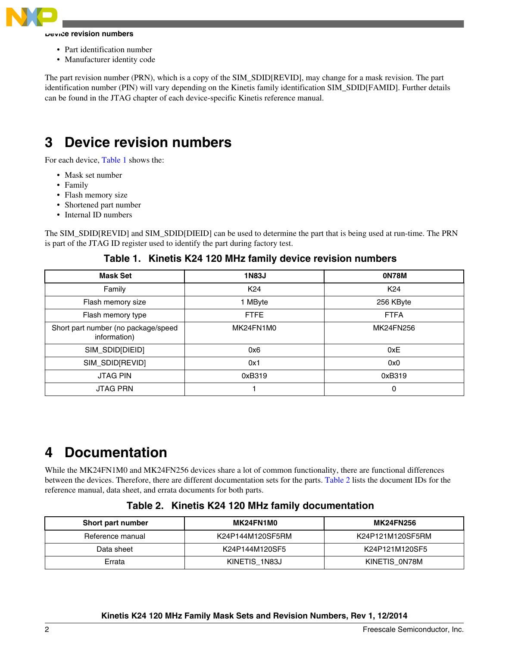<span id="page-1-0"></span>

#### **Device revision numbers**

- Part identification number
- Manufacturer identity code

The part revision number (PRN), which is a copy of the SIM\_SDID[REVID], may change for a mask revision. The part identification number (PIN) will vary depending on the Kinetis family identification SIM\_SDID[FAMID]. Further details can be found in the JTAG chapter of each device-specific Kinetis reference manual.

### **3 Device revision numbers**

For each device, Table 1 shows the:

- Mask set number
- Family
- Flash memory size
- Shortened part number
- Internal ID numbers

The SIM\_SDID[REVID] and SIM\_SDID[DIEID] can be used to determine the part that is being used at run-time. The PRN is part of the JTAG ID register used to identify the part during factory test.

| <b>Mask Set</b>                                     | <b>1N83J</b>    | <b>ON78M</b>    |
|-----------------------------------------------------|-----------------|-----------------|
| Family                                              | K <sub>24</sub> | K <sub>24</sub> |
| Flash memory size                                   | 1 MByte         | 256 KByte       |
| Flash memory type                                   | <b>FTFE</b>     | <b>FTFA</b>     |
| Short part number (no package/speed<br>information) | MK24FN1M0       | MK24FN256       |
| SIM_SDID[DIEID]                                     | 0x6             | 0xE             |
| SIM_SDID[REVID]                                     | 0x1             | 0x0             |
| <b>JTAG PIN</b>                                     | 0xB319          | 0xB319          |
| <b>JTAG PRN</b>                                     |                 | 0               |

**Table 1. Kinetis K24 120 MHz family device revision numbers**

### **4 Documentation**

While the MK24FN1M0 and MK24FN256 devices share a lot of common functionality, there are functional differences between the devices. Therefore, there are different documentation sets for the parts. Table 2 lists the document IDs for the reference manual, data sheet, and errata documents for both parts.

| Short part number | MK24FN1M0        | <b>MK24FN256</b> |
|-------------------|------------------|------------------|
| Reference manual  | K24P144M120SF5RM | K24P121M120SF5RM |
| Data sheet        | K24P144M120SF5   | K24P121M120SF5   |
| Errata            | KINETIS 1N83J    | KINETIS 0N78M    |

**Table 2. Kinetis K24 120 MHz family documentation**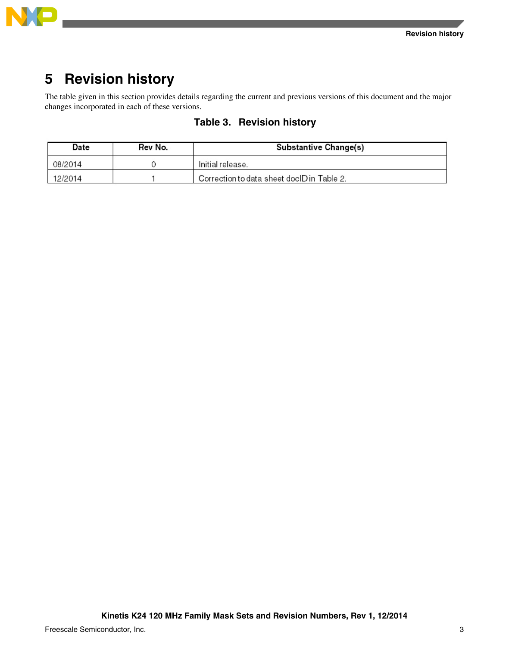

<span id="page-2-0"></span>

# **5 Revision history**

The table given in this section provides details regarding the current and previous versions of this document and the major changes incorporated in each of these versions.

| Date    | Rev No. | Substantive Change(s)                      |
|---------|---------|--------------------------------------------|
| 08/2014 |         | Initial release.                           |
| 12/2014 |         | Correction to data sheet doclD in Table 2. |

#### **Table 3. Revision history**

**Kinetis K24 120 MHz Family Mask Sets and Revision Numbers, Rev 1, 12/2014**